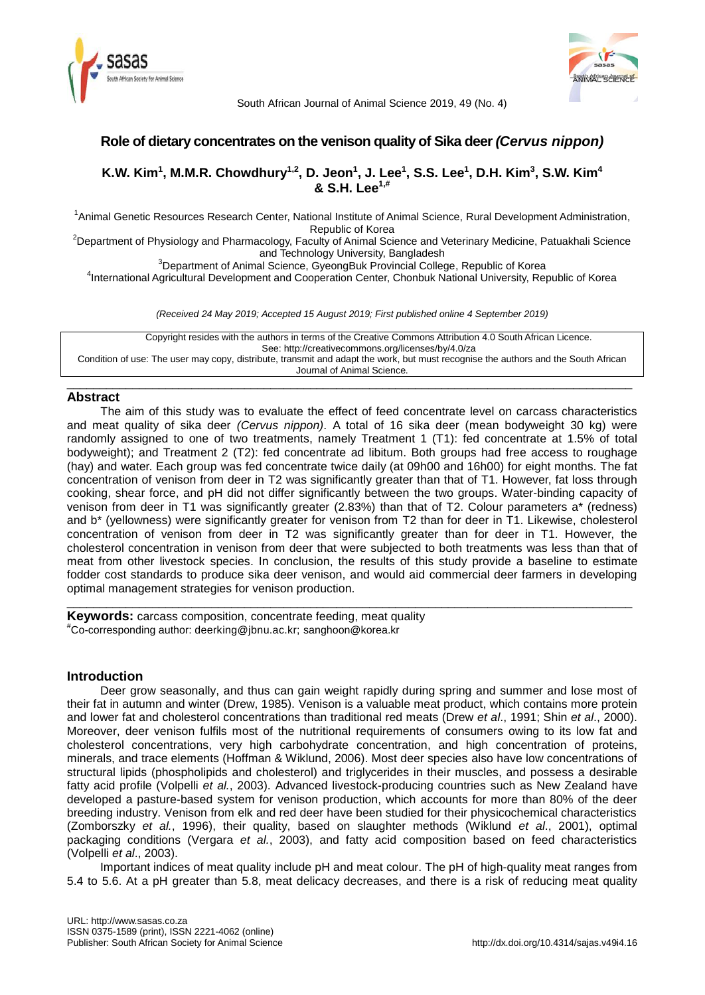



South African Journal of Animal Science 2019, 49 (No. 4)

# **Role of dietary concentrates on the venison quality of Sika deer** *(Cervus nippon)*

# **K.W. Kim<sup>1</sup> , M.M.R. Chowdhury1,2 , D. Jeon<sup>1</sup> , J. Lee<sup>1</sup> , S.S. Lee<sup>1</sup> , D.H. Kim<sup>3</sup> , S.W. Kim<sup>4</sup> & S.H. Lee1,#**

<sup>1</sup>Animal Genetic Resources Research Center, National Institute of Animal Science, Rural Development Administration, Republic of Korea

<sup>2</sup>Department of Physiology and Pharmacology, Faculty of Animal Science and Veterinary Medicine, Patuakhali Science and Technology University, Bangladesh

<sup>3</sup>Department of Animal Science, GyeongBuk Provincial College, Republic of Korea

4 International Agricultural Development and Cooperation Center, Chonbuk National University, Republic of Korea

*(Received 24 May 2019; Accepted 15 August 2019; First published online 4 September 2019)*

Copyright resides with the authors in terms of the Creative Commons Attribution 4.0 South African Licence. See: http://creativecommons.org/licenses/by/4.0/za Condition of use: The user may copy, distribute, transmit and adapt the work, but must recognise the authors and the South African Journal of Animal Science.

\_\_\_\_\_\_\_\_\_\_\_\_\_\_\_\_\_\_\_\_\_\_\_\_\_\_\_\_\_\_\_\_\_\_\_\_\_\_\_\_\_\_\_\_\_\_\_\_\_\_\_\_\_\_\_\_\_\_\_\_\_\_\_\_\_\_\_\_\_\_\_\_\_\_\_\_\_\_\_\_\_\_\_\_\_\_

## **Abstract**

The aim of this study was to evaluate the effect of feed concentrate level on carcass characteristics and meat quality of sika deer *(Cervus nippon)*. A total of 16 sika deer (mean bodyweight 30 kg) were randomly assigned to one of two treatments, namely Treatment 1 (T1): fed concentrate at 1.5% of total bodyweight); and Treatment 2 (T2): fed concentrate ad libitum. Both groups had free access to roughage (hay) and water. Each group was fed concentrate twice daily (at 09h00 and 16h00) for eight months. The fat concentration of venison from deer in T2 was significantly greater than that of T1. However, fat loss through cooking, shear force, and pH did not differ significantly between the two groups. Water-binding capacity of venison from deer in T1 was significantly greater (2.83%) than that of T2. Colour parameters a\* (redness) and b\* (yellowness) were significantly greater for venison from T2 than for deer in T1. Likewise, cholesterol concentration of venison from deer in T2 was significantly greater than for deer in T1. However, the cholesterol concentration in venison from deer that were subjected to both treatments was less than that of meat from other livestock species. In conclusion, the results of this study provide a baseline to estimate fodder cost standards to produce sika deer venison, and would aid commercial deer farmers in developing optimal management strategies for venison production.

\_\_\_\_\_\_\_\_\_\_\_\_\_\_\_\_\_\_\_\_\_\_\_\_\_\_\_\_\_\_\_\_\_\_\_\_\_\_\_\_\_\_\_\_\_\_\_\_\_\_\_\_\_\_\_\_\_\_\_\_\_\_\_\_\_\_\_\_\_\_\_\_\_\_\_\_\_\_\_\_\_\_\_\_\_\_

**Keywords:** carcass composition, concentrate feeding, meat quality #Co-corresponding author: deerking@jbnu.ac.kr; sanghoon@korea.kr

## **Introduction**

Deer grow seasonally, and thus can gain weight rapidly during spring and summer and lose most of their fat in autumn and winter (Drew, 1985). Venison is a valuable meat product, which contains more protein and lower fat and cholesterol concentrations than traditional red meats (Drew *et al*., 1991; Shin *et al*., 2000). Moreover, deer venison fulfils most of the nutritional requirements of consumers owing to its low fat and cholesterol concentrations, very high carbohydrate concentration, and high concentration of proteins, minerals, and trace elements (Hoffman & Wiklund, 2006). Most deer species also have low concentrations of structural lipids (phospholipids and cholesterol) and triglycerides in their muscles, and possess a desirable fatty acid profile (Volpelli *et al.*, 2003). Advanced livestock-producing countries such as New Zealand have developed a pasture-based system for venison production, which accounts for more than 80% of the deer breeding industry. Venison from elk and red deer have been studied for their physicochemical characteristics (Zomborszky *et al.*, 1996), their quality, based on slaughter methods (Wiklund *et al*., 2001), optimal packaging conditions (Vergara *et al.*, 2003), and fatty acid composition based on feed characteristics (Volpelli *et al*., 2003).

Important indices of meat quality include pH and meat colour. The pH of high-quality meat ranges from 5.4 to 5.6. At a pH greater than 5.8, meat delicacy decreases, and there is a risk of reducing meat quality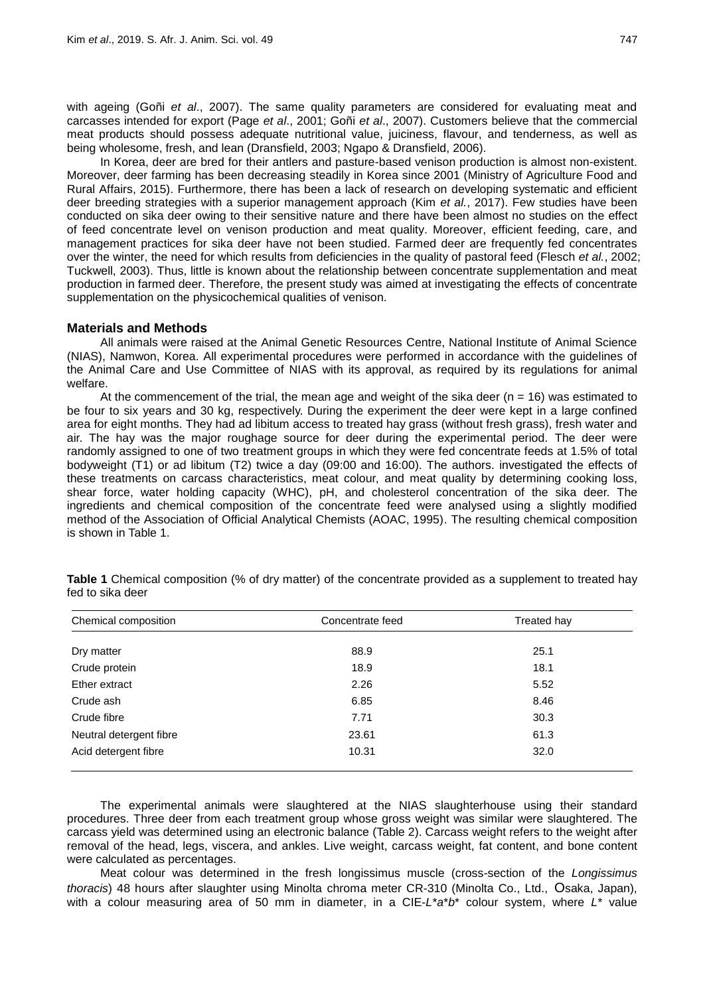with ageing (Goñi *et al*., 2007). The same quality parameters are considered for evaluating meat and carcasses intended for export (Page *et al*., 2001; Goñi *et al*., 2007). Customers believe that the commercial meat products should possess adequate nutritional value, juiciness, flavour, and tenderness, as well as being wholesome, fresh, and lean (Dransfield, 2003; Ngapo & Dransfield, 2006).

In Korea, deer are bred for their antlers and pasture-based venison production is almost non-existent. Moreover, deer farming has been decreasing steadily in Korea since 2001 (Ministry of Agriculture Food and Rural Affairs, 2015). Furthermore, there has been a lack of research on developing systematic and efficient deer breeding strategies with a superior management approach (Kim *et al.*, 2017). Few studies have been conducted on sika deer owing to their sensitive nature and there have been almost no studies on the effect of feed concentrate level on venison production and meat quality. Moreover, efficient feeding, care, and management practices for sika deer have not been studied. Farmed deer are frequently fed concentrates over the winter, the need for which results from deficiencies in the quality of pastoral feed (Flesch *et al.*, 2002; Tuckwell, 2003). Thus, little is known about the relationship between concentrate supplementation and meat production in farmed deer. Therefore, the present study was aimed at investigating the effects of concentrate supplementation on the physicochemical qualities of venison.

### **Materials and Methods**

All animals were raised at the Animal Genetic Resources Centre, National Institute of Animal Science (NIAS), Namwon, Korea. All experimental procedures were performed in accordance with the guidelines of the Animal Care and Use Committee of NIAS with its approval, as required by its regulations for animal welfare.

At the commencement of the trial, the mean age and weight of the sika deer ( $n = 16$ ) was estimated to be four to six years and 30 kg, respectively. During the experiment the deer were kept in a large confined area for eight months. They had ad libitum access to treated hay grass (without fresh grass), fresh water and air. The hay was the major roughage source for deer during the experimental period. The deer were randomly assigned to one of two treatment groups in which they were fed concentrate feeds at 1.5% of total bodyweight (T1) or ad libitum (T2) twice a day (09:00 and 16:00). The authors. investigated the effects of these treatments on carcass characteristics, meat colour, and meat quality by determining cooking loss, shear force, water holding capacity (WHC), pH, and cholesterol concentration of the sika deer. The ingredients and chemical composition of the concentrate feed were analysed using a slightly modified method of the Association of Official Analytical Chemists (AOAC, 1995). The resulting chemical composition is shown in Table 1.

| Chemical composition    | Concentrate feed | Treated hay |
|-------------------------|------------------|-------------|
| Dry matter              | 88.9             | 25.1        |
| Crude protein           | 18.9             | 18.1        |
| Ether extract           | 2.26             | 5.52        |
| Crude ash               | 6.85             | 8.46        |
| Crude fibre             | 7.71             | 30.3        |
| Neutral detergent fibre | 23.61            | 61.3        |
| Acid detergent fibre    | 10.31            | 32.0        |

**Table 1** Chemical composition (% of dry matter) of the concentrate provided as a supplement to treated hay fed to sika deer

The experimental animals were slaughtered at the NIAS slaughterhouse using their standard procedures. Three deer from each treatment group whose gross weight was similar were slaughtered. The carcass yield was determined using an electronic balance (Table 2). Carcass weight refers to the weight after removal of the head, legs, viscera, and ankles. Live weight, carcass weight, fat content, and bone content were calculated as percentages.

Meat colour was determined in the fresh longissimus muscle (cross-section of the *Longissimus thoracis*) 48 hours after slaughter using Minolta chroma meter CR-310 (Minolta Co., Ltd., Osaka, Japan), with a colour measuring area of 50 mm in diameter, in a CIE-*L*\**a*\**b*\* colour system, where *L*\* value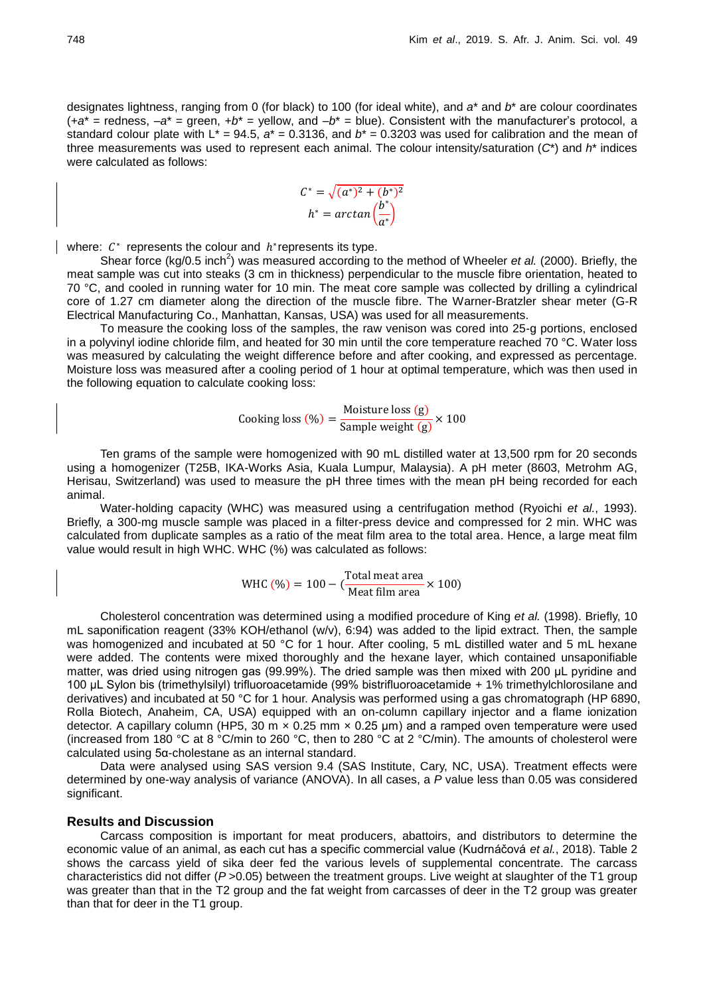designates lightness, ranging from 0 (for black) to 100 (for ideal white), and *a*\* and *b*\* are colour coordinates  $(+a^*$  = redness,  $-a^*$  = green,  $+b^*$  = yellow, and  $-b^*$  = blue). Consistent with the manufacturer's protocol, a standard colour plate with  $L^* = 94.5$ ,  $a^* = 0.3136$ , and  $b^* = 0.3203$  was used for calibration and the mean of three measurements was used to represent each animal. The colour intensity/saturation (*C*\*) and *h*\* indices were calculated as follows:

$$
C^* = \sqrt{(a^*)^2 + (b^*)^2}
$$

$$
h^* = \arctan\left(\frac{b^*}{a^*}\right)
$$

where:  $C^*$  represents the colour and  $h^*$ represents its type.

Shear force (kg/0.5 inch<sup>2</sup>) was measured according to the method of Wheeler *et al.* (2000). Briefly, the meat sample was cut into steaks (3 cm in thickness) perpendicular to the muscle fibre orientation, heated to 70 °C, and cooled in running water for 10 min. The meat core sample was collected by drilling a cylindrical core of 1.27 cm diameter along the direction of the muscle fibre. The Warner-Bratzler shear meter (G-R Electrical Manufacturing Co., Manhattan, Kansas, USA) was used for all measurements.

To measure the cooking loss of the samples, the raw venison was cored into 25-g portions, enclosed in a polyvinyl iodine chloride film, and heated for 30 min until the core temperature reached 70 °C. Water loss was measured by calculating the weight difference before and after cooking, and expressed as percentage. Moisture loss was measured after a cooling period of 1 hour at optimal temperature, which was then used in the following equation to calculate cooking loss:

$$
Looking loss (\%) = \frac{Moisture loss (g)}{Sample weight (g)} \times 100
$$

Ten grams of the sample were homogenized with 90 mL distilled water at 13,500 rpm for 20 seconds using a homogenizer (T25B, IKA-Works Asia, Kuala Lumpur, Malaysia). A pH meter (8603, Metrohm AG, Herisau, Switzerland) was used to measure the pH three times with the mean pH being recorded for each animal.

Water-holding capacity (WHC) was measured using a centrifugation method (Ryoichi *et al.*, 1993). Briefly, a 300-mg muscle sample was placed in a filter-press device and compressed for 2 min. WHC was calculated from duplicate samples as a ratio of the meat film area to the total area. Hence, a large meat film value would result in high WHC. WHC (%) was calculated as follows:

WHC (
$$
\% = 100 - \left( \frac{\text{Total meat area}}{\text{Meat film area}} \times 100 \right)
$$

Cholesterol concentration was determined using a modified procedure of King *et al.* (1998). Briefly, 10 mL saponification reagent (33% KOH/ethanol (w/v), 6:94) was added to the lipid extract. Then, the sample was homogenized and incubated at 50 °C for 1 hour. After cooling, 5 mL distilled water and 5 mL hexane were added. The contents were mixed thoroughly and the hexane layer, which contained unsaponifiable matter, was dried using nitrogen gas (99.99%). The dried sample was then mixed with 200 μL pyridine and 100 μL Sylon bis (trimethylsilyl) trifluoroacetamide (99% bistrifluoroacetamide + 1% trimethylchlorosilane and derivatives) and incubated at 50 °C for 1 hour. Analysis was performed using a gas chromatograph (HP 6890, Rolla Biotech, Anaheim, CA, USA) equipped with an on-column capillary injector and a flame ionization detector. A capillary column (HP5, 30 m  $\times$  0.25 mm  $\times$  0.25 µm) and a ramped oven temperature were used (increased from 180 °C at 8 °C/min to 260 °C, then to 280 °C at 2 °C/min). The amounts of cholesterol were calculated using 5α-cholestane as an internal standard.

Data were analysed using SAS version 9.4 (SAS Institute, Cary, NC, USA). Treatment effects were determined by one-way analysis of variance (ANOVA). In all cases, a *P* value less than 0.05 was considered significant.

### **Results and Discussion**

Carcass composition is important for meat producers, abattoirs, and distributors to determine the economic value of an animal, as each cut has a specific commercial value (Kudrnáčová *et al.*, 2018). Table 2 shows the carcass yield of sika deer fed the various levels of supplemental concentrate. The carcass characteristics did not differ ( $P > 0.05$ ) between the treatment groups. Live weight at slaughter of the T1 group was greater than that in the T2 group and the fat weight from carcasses of deer in the T2 group was greater than that for deer in the T1 group.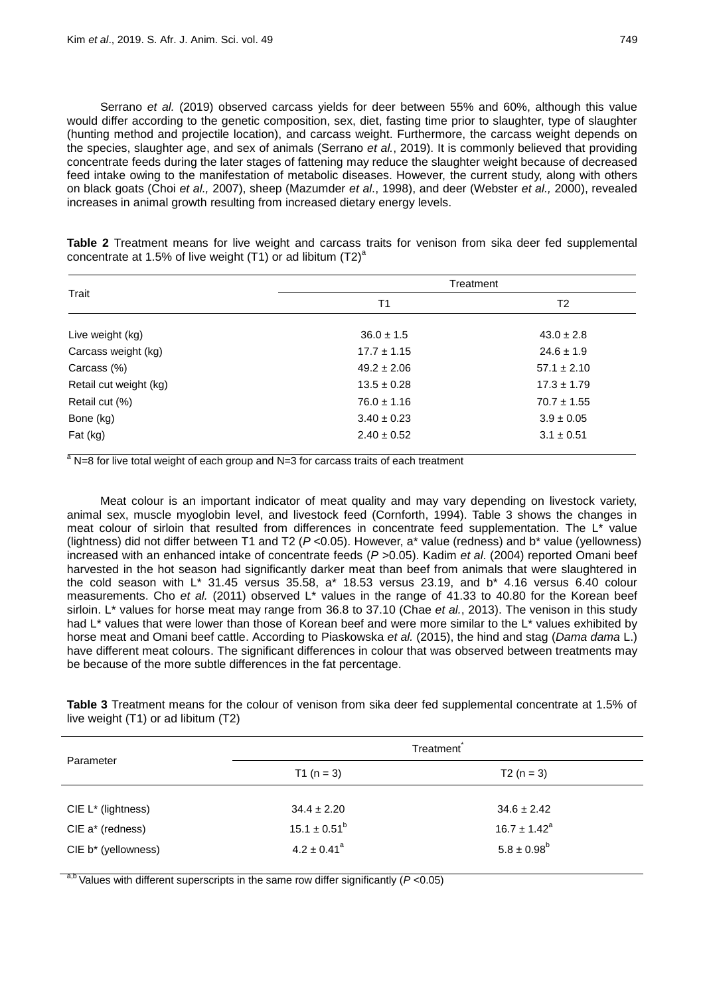Serrano *et al.* (2019) observed carcass yields for deer between 55% and 60%, although this value would differ according to the genetic composition, sex, diet, fasting time prior to slaughter, type of slaughter (hunting method and projectile location), and carcass weight. Furthermore, the carcass weight depends on the species, slaughter age, and sex of animals (Serrano *et al.*, 2019). It is commonly believed that providing concentrate feeds during the later stages of fattening may reduce the slaughter weight because of decreased feed intake owing to the manifestation of metabolic diseases. However, the current study, along with others on black goats (Choi *et al.,* 2007), sheep (Mazumder *et al*., 1998), and deer (Webster *et al.,* 2000), revealed increases in animal growth resulting from increased dietary energy levels.

**Table 2** Treatment means for live weight and carcass traits for venison from sika deer fed supplemental concentrate at 1.5% of live weight (T1) or ad libitum  $(T2)^{a}$ 

| Trait                  | Treatment       |                 |
|------------------------|-----------------|-----------------|
|                        | T1              | T <sub>2</sub>  |
| Live weight (kg)       | $36.0 \pm 1.5$  | $43.0 \pm 2.8$  |
| Carcass weight (kg)    | $17.7 \pm 1.15$ | $24.6 \pm 1.9$  |
| Carcass (%)            | $49.2 \pm 2.06$ | $57.1 \pm 2.10$ |
| Retail cut weight (kg) | $13.5 \pm 0.28$ | $17.3 \pm 1.79$ |
| Retail cut (%)         | $76.0 \pm 1.16$ | $70.7 \pm 1.55$ |
| Bone (kg)              | $3.40 \pm 0.23$ | $3.9 \pm 0.05$  |
| Fat (kg)               | $2.40 \pm 0.52$ | $3.1 \pm 0.51$  |

 $a<sup>a</sup>$ N=8 for live total weight of each group and N=3 for carcass traits of each treatment

Meat colour is an important indicator of meat quality and may vary depending on livestock variety, animal sex, muscle myoglobin level, and livestock feed (Cornforth, 1994). Table 3 shows the changes in meat colour of sirloin that resulted from differences in concentrate feed supplementation. The L\* value (lightness) did not differ between T1 and T2 (*P* <0.05). However, a\* value (redness) and b\* value (yellowness) increased with an enhanced intake of concentrate feeds (*P* >0.05). Kadim *et al*. (2004) reported Omani beef harvested in the hot season had significantly darker meat than beef from animals that were slaughtered in the cold season with L\* 31.45 versus 35.58, a\* 18.53 versus 23.19, and b\* 4.16 versus 6.40 colour measurements. Cho et al. (2011) observed L<sup>\*</sup> values in the range of 41.33 to 40.80 for the Korean beef sirloin. L\* values for horse meat may range from 36.8 to 37.10 (Chae *et al.*, 2013). The venison in this study had L<sup>\*</sup> values that were lower than those of Korean beef and were more similar to the L<sup>\*</sup> values exhibited by horse meat and Omani beef cattle. According to Piaskowska *et al.* (2015), the hind and stag (*Dama dama* L.) have different meat colours. The significant differences in colour that was observed between treatments may be because of the more subtle differences in the fat percentage.

**Table 3** Treatment means for the colour of venison from sika deer fed supplemental concentrate at 1.5% of live weight (T1) or ad libitum (T2)

| Parameter           | Treatment                   |                   |  |
|---------------------|-----------------------------|-------------------|--|
|                     | T1 ( $n = 3$ )              | $T2(n = 3)$       |  |
|                     |                             |                   |  |
| CIE L* (lightness)  | $34.4 \pm 2.20$             | $34.6 \pm 2.42$   |  |
| CIE a* (redness)    | $15.1 \pm 0.51^b$           | $16.7 \pm 1.42^a$ |  |
| CIE b* (yellowness) | $4.2 \pm 0.41$ <sup>a</sup> | $5.8 \pm 0.98^b$  |  |

a,b Values with different superscripts in the same row differ significantly (*P* <0.05)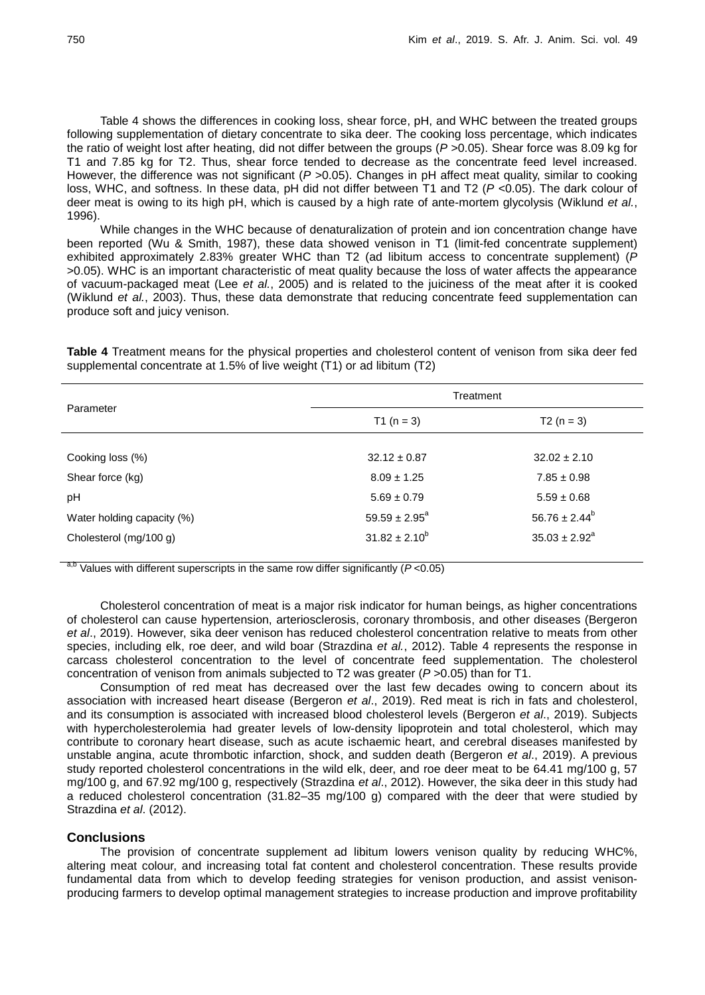Table 4 shows the differences in cooking loss, shear force, pH, and WHC between the treated groups following supplementation of dietary concentrate to sika deer. The cooking loss percentage, which indicates the ratio of weight lost after heating, did not differ between the groups (*P* >0.05). Shear force was 8.09 kg for T1 and 7.85 kg for T2. Thus, shear force tended to decrease as the concentrate feed level increased. However, the difference was not significant (*P* > 0.05). Changes in pH affect meat quality, similar to cooking loss, WHC, and softness. In these data, pH did not differ between T1 and T2 (*P* <0.05). The dark colour of deer meat is owing to its high pH, which is caused by a high rate of ante-mortem glycolysis (Wiklund *et al.*, 1996).

While changes in the WHC because of denaturalization of protein and ion concentration change have been reported (Wu & Smith, 1987), these data showed venison in T1 (limit-fed concentrate supplement) exhibited approximately 2.83% greater WHC than T2 (ad libitum access to concentrate supplement) (*P* >0.05). WHC is an important characteristic of meat quality because the loss of water affects the appearance of vacuum-packaged meat (Lee *et al.*, 2005) and is related to the juiciness of the meat after it is cooked (Wiklund *et al.*, 2003). Thus, these data demonstrate that reducing concentrate feed supplementation can produce soft and juicy venison.

**Table 4** Treatment means for the physical properties and cholesterol content of venison from sika deer fed supplemental concentrate at 1.5% of live weight (T1) or ad libitum (T2)

|                            | Treatment          |                    |
|----------------------------|--------------------|--------------------|
| Parameter                  | T1 ( $n = 3$ )     | $T2(n = 3)$        |
|                            |                    |                    |
| Cooking loss (%)           | $32.12 \pm 0.87$   | $32.02 \pm 2.10$   |
| Shear force (kg)           | $8.09 \pm 1.25$    | $7.85 \pm 0.98$    |
| pH                         | $5.69 \pm 0.79$    | $5.59 \pm 0.68$    |
| Water holding capacity (%) | $59.59 \pm 2.95^a$ | $56.76 \pm 2.44^b$ |
| Cholesterol (mg/100 g)     | $31.82 \pm 2.10^b$ | $35.03 \pm 2.92^a$ |

a,b Values with different superscripts in the same row differ significantly (*P* <0.05)

Cholesterol concentration of meat is a major risk indicator for human beings, as higher concentrations of cholesterol can cause hypertension, arteriosclerosis, coronary thrombosis, and other diseases (Bergeron *et al*., 2019). However, sika deer venison has reduced cholesterol concentration relative to meats from other species, including elk, roe deer, and wild boar (Strazdina *et al.*, 2012). Table 4 represents the response in carcass cholesterol concentration to the level of concentrate feed supplementation. The cholesterol concentration of venison from animals subjected to T2 was greater (*P* >0.05) than for T1.

Consumption of red meat has decreased over the last few decades owing to concern about its association with increased heart disease (Bergeron *et al*., 2019). Red meat is rich in fats and cholesterol, and its consumption is associated with increased blood cholesterol levels (Bergeron *et al*., 2019). Subjects with hypercholesterolemia had greater levels of low-density lipoprotein and total cholesterol, which may contribute to coronary heart disease, such as acute ischaemic heart, and cerebral diseases manifested by unstable angina, acute thrombotic infarction, shock, and sudden death (Bergeron *et al*., 2019). A previous study reported cholesterol concentrations in the wild elk, deer, and roe deer meat to be 64.41 mg/100 g, 57 mg/100 g, and 67.92 mg/100 g, respectively (Strazdina *et al*., 2012). However, the sika deer in this study had a reduced cholesterol concentration (31.82–35 mg/100 g) compared with the deer that were studied by Strazdina *et al*. (2012).

### **Conclusions**

The provision of concentrate supplement ad libitum lowers venison quality by reducing WHC%, altering meat colour, and increasing total fat content and cholesterol concentration. These results provide fundamental data from which to develop feeding strategies for venison production, and assist venisonproducing farmers to develop optimal management strategies to increase production and improve profitability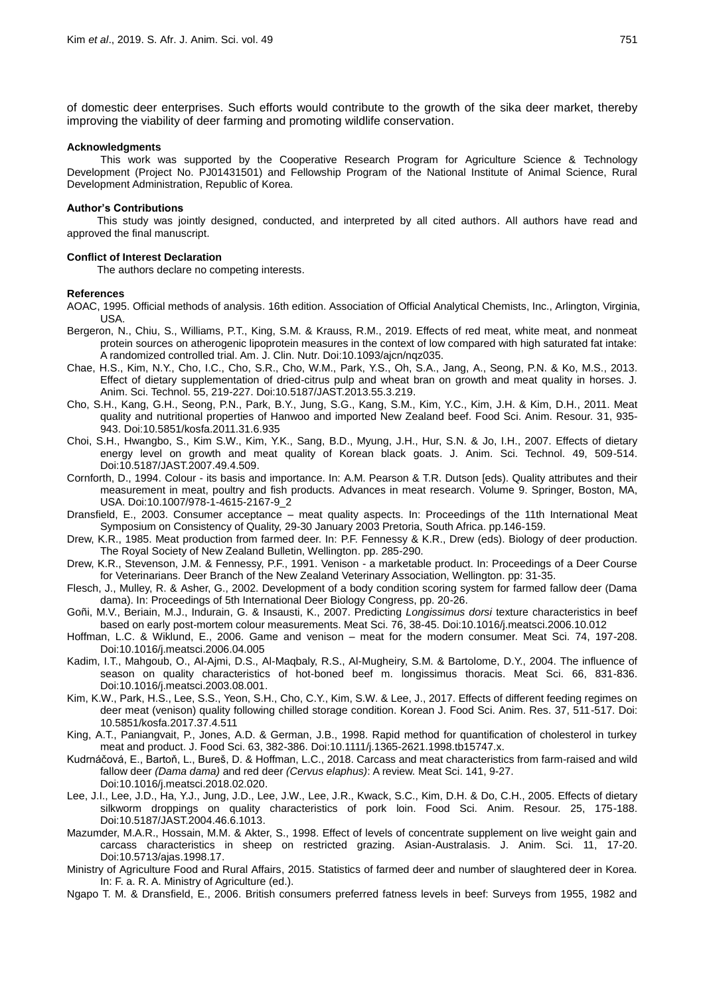of domestic deer enterprises. Such efforts would contribute to the growth of the sika deer market, thereby improving the viability of deer farming and promoting wildlife conservation.

### **Acknowledgments**

This work was supported by the Cooperative Research Program for Agriculture Science & Technology Development (Project No. PJ01431501) and Fellowship Program of the National Institute of Animal Science, Rural Development Administration, Republic of Korea.

#### **Author's Contributions**

This study was jointly designed, conducted, and interpreted by all cited authors. All authors have read and approved the final manuscript.

#### **Conflict of Interest Declaration**

The authors declare no competing interests.

#### **References**

- AOAC, 1995. Official methods of analysis. 16th edition. Association of Official Analytical Chemists, Inc., Arlington, Virginia, USA.
- Bergeron, N., Chiu, S., Williams, P.T., King, S.M. & Krauss, R.M., 2019. Effects of red meat, white meat, and nonmeat protein sources on atherogenic lipoprotein measures in the context of low compared with high saturated fat intake: A randomized controlled trial. Am. J. Clin. Nutr. Doi:10.1093/ajcn/nqz035.
- Chae, H.S., Kim, N.Y., Cho, I.C., Cho, S.R., Cho, W.M., Park, Y.S., Oh, S.A., Jang, A., Seong, P.N. & Ko, M.S., 2013. Effect of dietary supplementation of dried-citrus pulp and wheat bran on growth and meat quality in horses. J. Anim. Sci. Technol. 55, 219-227. Doi:10.5187/JAST.2013.55.3.219.
- Cho, S.H., Kang, G.H., Seong, P.N., Park, B.Y., Jung, S.G., Kang, S.M., Kim, Y.C., Kim, J.H. & Kim, D.H., 2011. Meat quality and nutritional properties of Hanwoo and imported New Zealand beef. Food Sci. Anim. Resour. 31, 935- 943. Doi:10.5851/kosfa.2011.31.6.935
- Choi, S.H., Hwangbo, S., Kim S.W., Kim, Y.K., Sang, B.D., Myung, J.H., Hur, S.N. & Jo, I.H., 2007. Effects of dietary energy level on growth and meat quality of Korean black goats. J. Anim. Sci. Technol. 49, 509-514. Doi:10.5187/JAST.2007.49.4.509.
- Cornforth, D., 1994. Colour its basis and importance. In: A.M. Pearson & T.R. Dutson [eds). Quality attributes and their measurement in meat, poultry and fish products. Advances in meat research. Volume 9. Springer, Boston, MA, USA. Doi:10.1007/978-1-4615-2167-9\_2
- Dransfield, E., 2003. Consumer acceptance meat quality aspects. In: Proceedings of the 11th International Meat Symposium on Consistency of Quality, 29-30 January 2003 Pretoria, South Africa. pp.146-159.
- Drew, K.R., 1985. Meat production from farmed deer. In: P.F. Fennessy & K.R., Drew (eds). Biology of deer production. The Royal Society of New Zealand Bulletin, Wellington. pp. 285-290.
- Drew, K.R., Stevenson, J.M. & Fennessy, P.F., 1991. Venison a marketable product. In: Proceedings of a Deer Course for Veterinarians. Deer Branch of the New Zealand Veterinary Association, Wellington. pp: 31-35.
- Flesch, J., Mulley, R. & Asher, G., 2002. Development of a body condition scoring system for farmed fallow deer (Dama dama). In: Proceedings of 5th International Deer Biology Congress, pp. 20-26.
- Goñi, M.V., Beriain, M.J., Indurain, G. & Insausti, K., 2007. Predicting *Longissimus dorsi* texture characteristics in beef based on early post-mortem colour measurements. Meat Sci. 76, 38-45. Doi[:10.1016/j.meatsci.2006.10.012](https://doi.org/10.1016/j.meatsci.2006.10.012)
- Hoffman, L.C. & Wiklund, E., 2006. Game and venison meat for the modern consumer. Meat Sci. 74, 197-208. Doi:10.1016/j.meatsci.2006.04.005
- Kadim, I.T., Mahgoub, O., Al-Ajmi, D.S., Al-Maqbaly, R.S., Al-Mugheiry, S.M. & Bartolome, D.Y., 2004. The influence of season on quality characteristics of hot-boned beef m. longissimus thoracis. Meat Sci. 66, 831-836. Doi[:10.1016/j.meatsci.2003.08.001.](https://doi.org/10.1016/j.meatsci.2003.08.001)
- Kim, K.W., Park, H.S., Lee, S.S., Yeon, S.H., Cho, C.Y., Kim, S.W. & Lee, J., 2017. Effects of different feeding regimes on deer meat (venison) quality following chilled storage condition. Korean J. Food Sci. Anim. Res. 37, 511-517. Doi: 10.5851/kosfa.2017.37.4.511
- King, A.T., Paniangvait, P., Jones, A.D. & German, J.B., 1998. Rapid method for quantification of cholesterol in turkey meat and product. J. Food Sci. 63, 382-386. Doi:10.1111/j.1365-2621.1998.tb15747.x.
- Kudrnáčová, E., Bartoň, L., Bureš, D. & Hoffman, L.C., 2018. Carcass and meat characteristics from farm-raised and wild fallow deer *(Dama dama)* and red deer *(Cervus elaphus)*: A review. Meat Sci. 141, 9-27. Doi[:10.1016/j.meatsci.2018.02.020.](https://doi.org/10.1016/j.meatsci.2018.02.020)
- Lee, J.I., Lee, J.D., Ha, Y.J., Jung, J.D., Lee, J.W., Lee, J.R., Kwack, S.C., Kim, D.H. & Do, C.H., 2005. Effects of dietary silkworm droppings on quality characteristics of pork loin. Food Sci. Anim. Resour. 25, 175-188. Doi:10.5187/JAST.2004.46.6.1013.
- Mazumder, M.A.R., Hossain, M.M. & Akter, S., 1998. Effect of levels of concentrate supplement on live weight gain and carcass characteristics in sheep on restricted grazing. Asian-Australasis. J. Anim. Sci. 11, 17-20. Doi:10.5713/ajas.1998.17.
- Ministry of Agriculture Food and Rural Affairs, 2015. Statistics of farmed deer and number of slaughtered deer in Korea. In: F. a. R. A. Ministry of Agriculture (ed.).
- Ngapo T. M. & Dransfield, E., 2006. British consumers preferred fatness levels in beef: Surveys from 1955, 1982 and